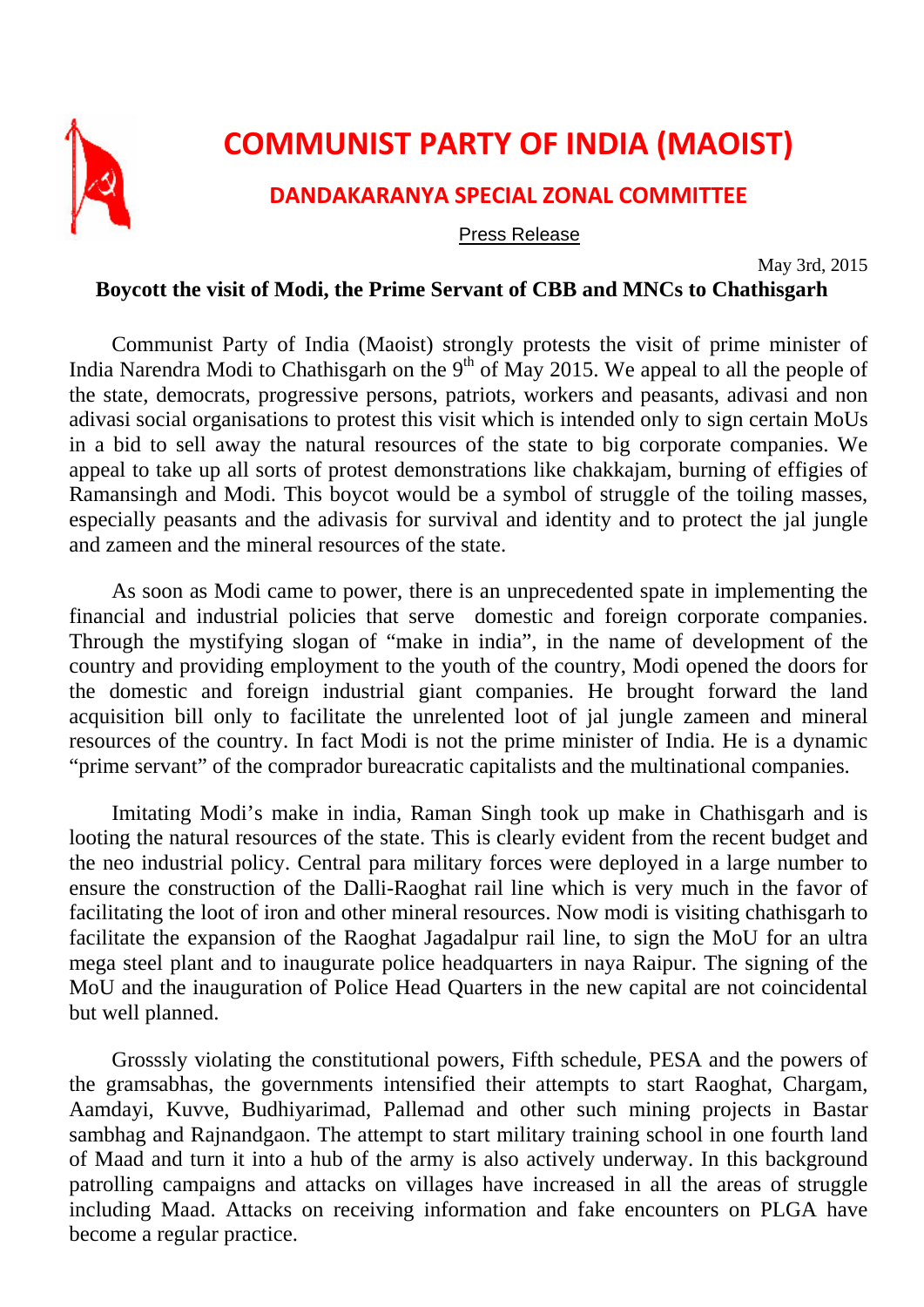

## **COMMUNIST PARTY OF INDIA (MAOIST)**

## **DANDAKARANYA SPECIAL ZONAL COMMITTEE**

## Press Release

May 3rd, 2015

## **Boycott the visit of Modi, the Prime Servant of CBB and MNCs to Chathisgarh**

Communist Party of India (Maoist) strongly protests the visit of prime minister of India Narendra Modi to Chathisgarh on the  $9<sup>th</sup>$  of May 2015. We appeal to all the people of the state, democrats, progressive persons, patriots, workers and peasants, adivasi and non adivasi social organisations to protest this visit which is intended only to sign certain MoUs in a bid to sell away the natural resources of the state to big corporate companies. We appeal to take up all sorts of protest demonstrations like chakkajam, burning of effigies of Ramansingh and Modi. This boycot would be a symbol of struggle of the toiling masses, especially peasants and the adivasis for survival and identity and to protect the jal jungle and zameen and the mineral resources of the state.

As soon as Modi came to power, there is an unprecedented spate in implementing the financial and industrial policies that serve domestic and foreign corporate companies. Through the mystifying slogan of "make in india", in the name of development of the country and providing employment to the youth of the country, Modi opened the doors for the domestic and foreign industrial giant companies. He brought forward the land acquisition bill only to facilitate the unrelented loot of jal jungle zameen and mineral resources of the country. In fact Modi is not the prime minister of India. He is a dynamic "prime servant" of the comprador bureacratic capitalists and the multinational companies.

Imitating Modi's make in india, Raman Singh took up make in Chathisgarh and is looting the natural resources of the state. This is clearly evident from the recent budget and the neo industrial policy. Central para military forces were deployed in a large number to ensure the construction of the Dalli-Raoghat rail line which is very much in the favor of facilitating the loot of iron and other mineral resources. Now modi is visiting chathisgarh to facilitate the expansion of the Raoghat Jagadalpur rail line, to sign the MoU for an ultra mega steel plant and to inaugurate police headquarters in naya Raipur. The signing of the MoU and the inauguration of Police Head Quarters in the new capital are not coincidental but well planned.

Grosssly violating the constitutional powers, Fifth schedule, PESA and the powers of the gramsabhas, the governments intensified their attempts to start Raoghat, Chargam, Aamdayi, Kuvve, Budhiyarimad, Pallemad and other such mining projects in Bastar sambhag and Rajnandgaon. The attempt to start military training school in one fourth land of Maad and turn it into a hub of the army is also actively underway. In this background patrolling campaigns and attacks on villages have increased in all the areas of struggle including Maad. Attacks on receiving information and fake encounters on PLGA have become a regular practice.